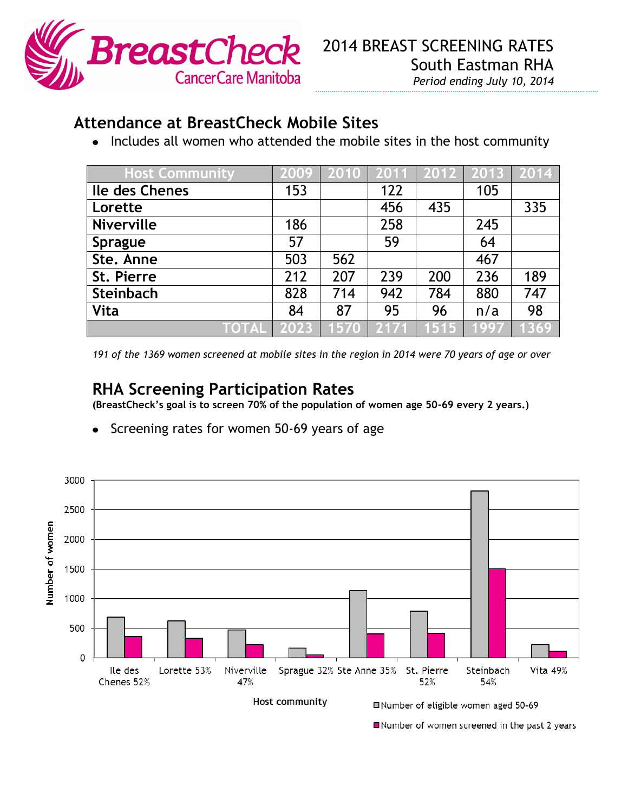

## **Attendance at BreastCheck Mobile Sites**

• Includes all women who attended the mobile sites in the host community

| <b>Host Community</b> | 2009 | 2010   2011   2012   2013   2014 |      |      |      |      |
|-----------------------|------|----------------------------------|------|------|------|------|
| Ile des Chenes        | 153  |                                  | 122  |      | 105  |      |
| Lorette               |      |                                  | 456  | 435  |      | 335  |
| <b>Niverville</b>     | 186  |                                  | 258  |      | 245  |      |
| <b>Sprague</b>        | 57   |                                  | 59   |      | 64   |      |
| Ste. Anne             | 503  | 562                              |      |      | 467  |      |
| St. Pierre            | 212  | 207                              | 239  | 200  | 236  | 189  |
| Steinbach             | 828  | 714                              | 942  | 784  | 880  | 747  |
| <b>Vita</b>           | 84   | 87                               | 95   | 96   | n/a  | 98   |
| TOTAL                 | 2023 | 1570                             | 2171 | 1515 | 1997 | 1369 |

*191 of the 1369 women screened at mobile sites in the region in 2014 were 70 years of age or over*

## **RHA Screening Participation Rates**

**(BreastCheck's goal is to screen 70% of the population of women age 50-69 every 2 years.)**

Screening rates for women 50-69 years of age



Number of women screened in the past 2 years